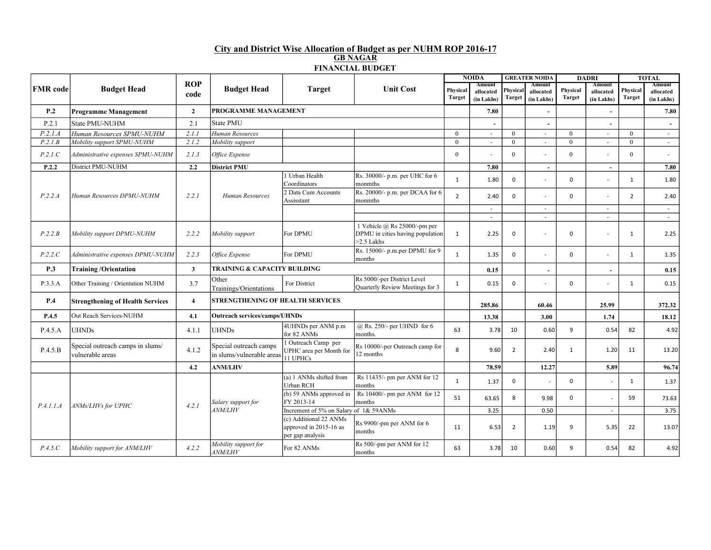## City and District Wise Allocation of Budget as per NUHM ROP 2016-17 GB NAGAR FINANCIAL BUDGET

|                 | <b>Budget Head</b>                                   | <b>ROP</b><br>code      | <b>Budget Head</b>                                  | <b>Target</b>                                                        | <b>Unit Cost</b>                                                                     | <b>NOIDA</b>              |                                          | <b>GREATER NOIDA</b>      |                                   | <b>DADRI</b>              |                                   | <b>TOTAL</b>              |                                          |
|-----------------|------------------------------------------------------|-------------------------|-----------------------------------------------------|----------------------------------------------------------------------|--------------------------------------------------------------------------------------|---------------------------|------------------------------------------|---------------------------|-----------------------------------|---------------------------|-----------------------------------|---------------------------|------------------------------------------|
| <b>FMR</b> code |                                                      |                         |                                                     |                                                                      |                                                                                      | Physical<br><b>Target</b> | <b>Amount</b><br>allocated<br>(in Lakhs) | Physical<br><b>Target</b> | Amount<br>allocated<br>(in Lakhs) | Physical<br><b>Target</b> | Amount<br>allocated<br>(in Lakhs) | Physical<br><b>Target</b> | <b>Amount</b><br>allocated<br>(in Lakhs) |
| P <sub>.2</sub> | <b>Programme Management</b>                          | $\overline{2}$          | PROGRAMME MANAGEMENT                                |                                                                      |                                                                                      |                           | 7.80                                     |                           |                                   |                           |                                   |                           | 7.80                                     |
| P.2.1           | State PMU-NUHM                                       | 2.1                     | State PMU                                           |                                                                      |                                                                                      |                           |                                          |                           |                                   |                           |                                   |                           |                                          |
| P.2.1.A         | Human Resources SPMU-NUHM                            | 2.1.1                   | Human Resources                                     |                                                                      |                                                                                      | $\theta$                  |                                          | $\theta$                  | $\sim$                            | $\mathbf{0}$              | $\overline{\phantom{a}}$          | $\overline{0}$            | $\sim$                                   |
| P.2.1.B         | Mobility support SPMU-NUHM                           | 2.1.2                   | Mobility support                                    |                                                                      |                                                                                      | $\theta$                  | $\sim$                                   | $\theta$                  | $\sim$                            | $\overline{0}$            | $\sim$                            | $\theta$                  | $\sim$                                   |
| P.2.1.C         | Administrative expenses SPMU-NUHM                    | 2.1.3                   | Office Expense                                      |                                                                      |                                                                                      | $\theta$                  |                                          | $\theta$                  |                                   | $\overline{0}$            |                                   | $\theta$                  | $\overline{\phantom{a}}$                 |
| P.2.2           | District PMU-NUHM                                    | 2.2                     | <b>District PMU</b>                                 |                                                                      |                                                                                      |                           | 7.80                                     |                           | $\sim$                            |                           | $\overline{\phantom{a}}$          |                           | 7.80                                     |
|                 |                                                      |                         |                                                     | 1 Urban Health<br>Coordinators                                       | $\vert$ Rs. 30000/- p.m. per UHC for 6<br>monmths                                    | $\mathbf{1}$              | 1.80                                     | $\mathbf 0$               |                                   | $\mathbf 0$               |                                   | 1                         | 1.80                                     |
| P.2.2.A         | Human Resources DPMU-NUHM                            | 2.2.1                   | Human Resources                                     | 2 Data Cum Accounts<br>Assisstant                                    | Rs. 20000/- p.m. per DCAA for 6<br>monmths                                           | $\overline{2}$            | 2.40                                     | $\Omega$                  |                                   | $\mathbf 0$               |                                   | $\overline{2}$            | 2.40                                     |
|                 |                                                      |                         |                                                     |                                                                      |                                                                                      |                           | $\sim$                                   |                           | $\sim$                            |                           | $\sim$                            |                           | $\sim$                                   |
|                 |                                                      |                         |                                                     |                                                                      |                                                                                      |                           | $\overline{\phantom{a}}$                 |                           | $\overline{\phantom{a}}$          |                           | $\sim$                            |                           | $\sim$                                   |
| P.2.2.B         | Mobility support DPMU-NUHM                           | 2.2.2                   | Mobility support                                    | For DPMU                                                             | 1 Vehicle $(a)$ Rs 25000/-pm per<br>DPMU in cities having population<br>$>2.5$ Lakhs | 1                         | 2.25                                     | $\mathbf 0$               |                                   | $\mathbf 0$               | Ĭ.                                | 1                         | 2.25                                     |
| P.2.2.C         | Administrative expenses DPMU-NUHM                    | 2.2.3                   | Office Expense                                      | For DPMU                                                             | Rs. 15000/- p.m.per DPMU for 9<br>months                                             | $\mathbf{1}$              | 1.35                                     | $\mathbf 0$               |                                   | $\mathbf 0$               | $\overline{a}$                    | 1                         | 1.35                                     |
| P.3             | <b>Training/Orientation</b>                          | $\overline{\mathbf{3}}$ | <b>TRAINING &amp; CAPACITY BUILDING</b>             |                                                                      |                                                                                      |                           | 0.15                                     |                           |                                   |                           |                                   |                           | 0.15                                     |
| P.3.3.A         | Other Training / Orientation NUHM                    | 3.7                     | Other<br>Trainings/Orientations                     | For District                                                         | Rs 5000/-per District Level<br>Quarterly Review Meetings for 3                       | 1                         | 0.15                                     | $\mathbf 0$               |                                   | $\mathbf 0$               |                                   | 1                         | 0.15                                     |
| P.4             | <b>Strengthening of Health Services</b>              | $\overline{4}$          | <b>STRENGTHENING OF HEALTH SERVICES</b>             |                                                                      |                                                                                      |                           | 285.86                                   |                           | 60.46                             |                           | 25.99                             |                           | 372.32                                   |
| P.4.5           | Out Reach Services-NUHM                              | 4.1                     | <b>Outreach services/camps/UHNDs</b>                |                                                                      |                                                                                      |                           | 13.38                                    |                           | 3.00                              |                           | 1.74                              |                           | 18.12                                    |
| P.4.5.A         | <b>UHNDs</b>                                         | 4.1.1                   | <b>UHNDs</b>                                        | 4UHNDs per ANM p.m<br>for 82 ANMs                                    | $(a)$ Rs. 250/- per UHND for 6<br>months.                                            | 63                        | 3.78                                     | 10                        | 0.60                              | 9                         | 0.54                              | 82                        | 4.92                                     |
| P.4.5.B         | Special outreach camps in slums/<br>vulnerable areas | 4.1.2                   | Special outreach camps<br>in slums/vulnerable areas | 1 Outreach Camp per<br>UPHC area per Month for<br>11 UPHCs           | Rs 10000/-per Outreach camp for<br>12 months                                         | 8                         | 9.60                                     | $\overline{2}$            | 2.40                              | 1                         | 1.20                              | 11                        | 13.20                                    |
|                 |                                                      | 4.2                     | <b>ANM/LHV</b>                                      |                                                                      |                                                                                      |                           | 78.59                                    |                           | 12.27                             |                           | 5.89                              |                           | 96.74                                    |
| P.4.1.1.A       | ANMs/LHVs for UPHC                                   | 4.2.1                   | Salary support for<br><b>ANM/LHV</b>                | $(a)$ 1 ANMs shifted from<br>Urban RCH                               | Rs 11435/- pm per ANM for 12<br>months                                               | $\mathbf{1}$              | 1.37                                     | $\mathbf 0$               |                                   | 0                         |                                   | 1                         | 1.37                                     |
|                 |                                                      |                         |                                                     | (b) 59 ANMs approved in<br>FY 2013-14                                | Rs 10400/- pm per ANM for 12<br>months                                               | 51                        | 63.65                                    | 8                         | 9.98                              | $\mathbf 0$               |                                   | 59                        | 73.63                                    |
|                 |                                                      |                         |                                                     | Increment of 5% on Salary of 1& 59ANMs                               |                                                                                      |                           | 3.25                                     |                           | 0.50                              |                           | $\mathcal{L}_{\mathcal{A}}$       |                           | 3.75                                     |
|                 |                                                      |                         |                                                     | (c) Additional 22 ANMs<br>approved in 2015-16 as<br>per gap analysis | Rs 9900/-pm per ANM for 6<br>months                                                  | 11                        | 6.53                                     | $\overline{2}$            | 1.19                              | 9                         | 5.35                              | 22                        | 13.07                                    |
| P.4.5.C         | Mobility support for ANM/LHV                         | 4.2.2                   | Mobility support for<br>ANM/LHV                     | For 82 ANMs                                                          | Rs 500/-pm per ANM for 12<br>months                                                  | 63                        | 3.78                                     | 10                        | 0.60                              | 9                         | 0.54                              | 82                        | 4.92                                     |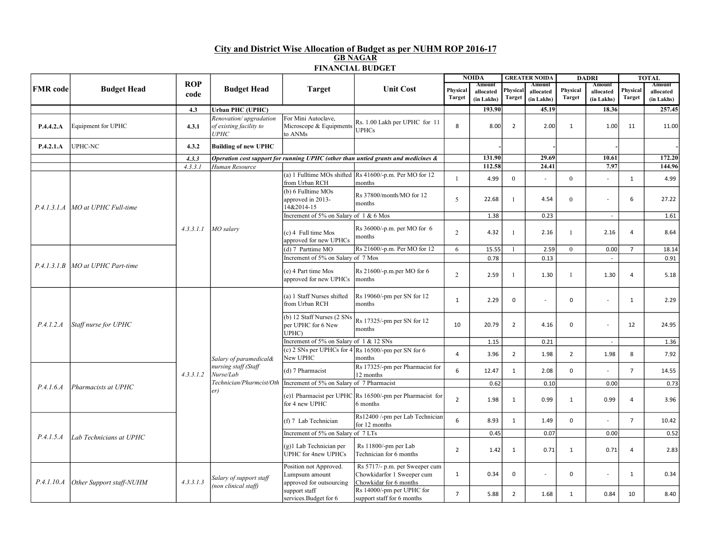## City and District Wise Allocation of Budget as per NUHM ROP 2016-17 GB NAGAR FINANCIAL BUDGET

| <b>FMR</b> code | <b>Budget Head</b>                 | <b>ROP</b><br>code | <b>Budget Head</b>                                                                             | <b>Target</b>                                                        | <b>Unit Cost</b>                                                                              | <b>NOIDA</b>       |                                   | <b>GREATER NOIDA</b>      |                                   | <b>DADRI</b>              |                                   |                    | <b>TOTAL</b>                      |
|-----------------|------------------------------------|--------------------|------------------------------------------------------------------------------------------------|----------------------------------------------------------------------|-----------------------------------------------------------------------------------------------|--------------------|-----------------------------------|---------------------------|-----------------------------------|---------------------------|-----------------------------------|--------------------|-----------------------------------|
|                 |                                    |                    |                                                                                                |                                                                      |                                                                                               | Physical<br>Target | Amount<br>allocated<br>(in Lakhs) | Physical<br><b>Target</b> | Amount<br>allocated<br>(in Lakhs) | Physical<br><b>Target</b> | Amount<br>allocated<br>(in Lakhs) | Physical<br>Target | Amount<br>allocated<br>(in Lakhs) |
|                 |                                    | 4.3                | <b>Urban PHC (UPHC)</b>                                                                        |                                                                      |                                                                                               |                    | 193.90                            |                           | 45.19                             |                           | 18.36                             |                    | 257.45                            |
| P.4.4.2.A       | Equipment for UPHC                 | 4.3.1              | Renovation/upgradation<br>of existing facility to<br>UPHC                                      | For Mini Autoclave,<br>Microscope & Equipments<br>to ANMs            | Rs. 1.00 Lakh per UPHC for 11<br><b>UPHCs</b>                                                 | 8                  | 8.00                              | $\overline{2}$            | 2.00                              | $\mathbf{1}$              | 1.00                              | 11                 | 11.00                             |
| P.4.2.1.A       | <b>UPHC-NC</b>                     | 4.3.2              | <b>Building of new UPHC</b>                                                                    |                                                                      |                                                                                               |                    |                                   |                           |                                   |                           |                                   |                    |                                   |
|                 |                                    | 4, 3, 3            |                                                                                                |                                                                      | Operation cost support for running UPHC (other than untied grants and medicines &             |                    | 131.90                            |                           | 29.69                             |                           | 10.61                             |                    | 172.20                            |
|                 |                                    | 4.3.3.1            | Human Resource                                                                                 |                                                                      |                                                                                               |                    | 112.58                            |                           | 24.41                             |                           | 7.97                              |                    | 144.96                            |
|                 |                                    |                    |                                                                                                | from Urban RCH                                                       | (a) 1 Fulltime MOs shifted $\left  \text{Rs } 41600 \right $ -p.m. Per MO for 12<br>months    | $\mathbf{1}$       | 4.99                              | $\mathbf{0}$              | $\sim$                            | $\overline{0}$            |                                   | 1                  | 4.99                              |
|                 | P.4.1.3.1.A MO at UPHC Full-time   |                    |                                                                                                | (b) 6 Fulltime MOs<br>approved in 2013-<br>14&2014-15                | Rs 37800/month/MO for 12<br>months                                                            | 5                  | 22.68                             | -1                        | 4.54                              | $\overline{0}$            |                                   | 6                  | 27.22                             |
|                 |                                    |                    |                                                                                                | Increment of 5% on Salary of 1 & 6 Mos                               |                                                                                               |                    | 1.38                              |                           | 0.23                              |                           | $\sim$                            |                    | 1.61                              |
|                 |                                    | 4.3.3.1.1          | MO salary                                                                                      | (c) 4 Full time Mos<br>approved for new UPHCs                        | $Rs$ 36000/-p.m. per MO for 6<br>months                                                       | 2                  | 4.32                              |                           | 2.16                              | $\mathbf{1}$              | 2.16                              | $\overline{4}$     | 8.64                              |
|                 | P.4.1.3.1.B   MO at UPHC Part-time |                    |                                                                                                | (d) 7 Parttime MO                                                    | Rs 21600/-p.m. Per MO for 12                                                                  | 6                  | 15.55                             |                           | 2.59                              | $\overline{0}$            | 0.00                              | $\overline{7}$     | 18.14                             |
|                 |                                    |                    |                                                                                                | Increment of 5% on Salary of 7 Mos                                   |                                                                                               |                    | 0.78                              |                           | 0.13                              |                           |                                   |                    | 0.91                              |
|                 |                                    |                    |                                                                                                | (e) 4 Part time Mos<br>approved for new UPHCs                        | Rs 21600/-p.m.per MO for 6<br>lmonths                                                         | 2                  | 2.59                              |                           | 1.30                              | $\mathbf{1}$              | 1.30                              | $\overline{4}$     | 5.18                              |
|                 | Staff nurse for UPHC               | 4, 3, 3, 1, 2      |                                                                                                | (a) 1 Staff Nurses shifted<br>from Urban RCH                         | Rs 19060/-pm per SN for 12<br>Imonths                                                         | $\mathbf{1}$       | 2.29                              | $\mathbf 0$               | $\overline{\phantom{a}}$          | $\mathbf 0$               | $\overline{a}$                    | 1                  | 2.29                              |
| P.4.1.2.A       |                                    |                    |                                                                                                | (b) 12 Staff Nurses (2 SNs<br>per UPHC for 6 New<br>months<br>UPHC)  | Rs 17325/-pm per SN for 12                                                                    | 10                 | 20.79                             | $\overline{2}$            | 4.16                              | $\mathbf 0$               | L,                                | 12                 | 24.95                             |
|                 |                                    |                    | Salary of paramedical&<br>nursing staff (Staff<br>Nurse/Lab<br>Technician/Pharmcist/Oth<br>er) | Increment of 5% on Salary of 1 & 12 SNs                              |                                                                                               |                    | 1.15                              |                           | 0.21                              |                           |                                   |                    | 1.36                              |
|                 |                                    |                    |                                                                                                | New UPHC                                                             | (c) 2 SNs per UPHCs for $4 \times 16500/$ -pm per SN for 6<br>months                          | $\overline{4}$     | 3.96                              | $\overline{2}$            | 1.98                              | $\overline{2}$            | 1.98                              | 8                  | 7.92                              |
|                 | Pharmacists at UPHC                |                    |                                                                                                | (d) 7 Pharmacist                                                     | Rs 17325/-pm per Pharmacist for<br>12 months                                                  | 6                  | 12.47                             | $\mathbf{1}$              | 2.08                              | $\mathbf 0$               |                                   | $\overline{7}$     | 14.55                             |
| P.4.1.6.A       |                                    |                    |                                                                                                | Increment of 5% on Salary of 7 Pharmacist                            |                                                                                               |                    | 0.62                              |                           | 0.10                              |                           | 0.00                              |                    | 0.73                              |
|                 |                                    |                    |                                                                                                | for 4 new UPHC                                                       | (e)1 Pharmacist per UPHC $\left  \text{Rs } 16500 \right $ -pm per Pharmacist for<br>6 months | $\overline{2}$     | 1.98                              | $\mathbf{1}$              | 0.99                              | $\mathbf{1}$              | 0.99                              | $\overline{4}$     | 3.96                              |
| P.4.1.5.A       | Lab Technicians at UPHC            |                    |                                                                                                | (f) 7 Lab Technician                                                 | Rs12400 /-pm per Lab Technician<br>for 12 months                                              | 6                  | 8.93                              | $\mathbf{1}$              | 1.49                              | $\mathbf 0$               |                                   | $\overline{7}$     | 10.42                             |
|                 |                                    |                    |                                                                                                | Increment of 5% on Salary of 7 LTs                                   |                                                                                               |                    | 0.45                              |                           | 0.07                              |                           | 0.00                              |                    | 0.52                              |
|                 |                                    |                    |                                                                                                | (g)1 Lab Technician per<br><b>UPHC</b> for 4new UPHCs                | Rs 11800/-pm per Lab<br>Technician for 6 months                                               | $\overline{2}$     | 1.42                              | $\mathbf{1}$              | 0.71                              | $\mathbf{1}$              | 0.71                              | $\overline{4}$     | 2.83                              |
| P.4.1.10.A      | Other Support staff-NUHM           | 4.3.3.1.3          | Salary of support staff                                                                        | Position not Approved.<br>Lumpsum amount<br>approved for outsourcing | Rs 5717/- p.m. per Sweeper cum<br>Chowkidarfor 1 Sweeper cum<br>Chowkidar for 6 months        | 1                  | 0.34                              | $\mathbf 0$               | $\sim$                            | $\mathsf 0$               | L,                                | $\mathbf{1}$       | 0.34                              |
|                 |                                    |                    | (non clinical staff)                                                                           | support staff<br>services. Budget for 6                              | Rs 14000/-pm per UPHC for<br>support staff for 6 months                                       | $\overline{7}$     | 5.88                              | $\overline{2}$            | 1.68                              | $\mathbf{1}$              | 0.84                              | 10                 | 8.40                              |